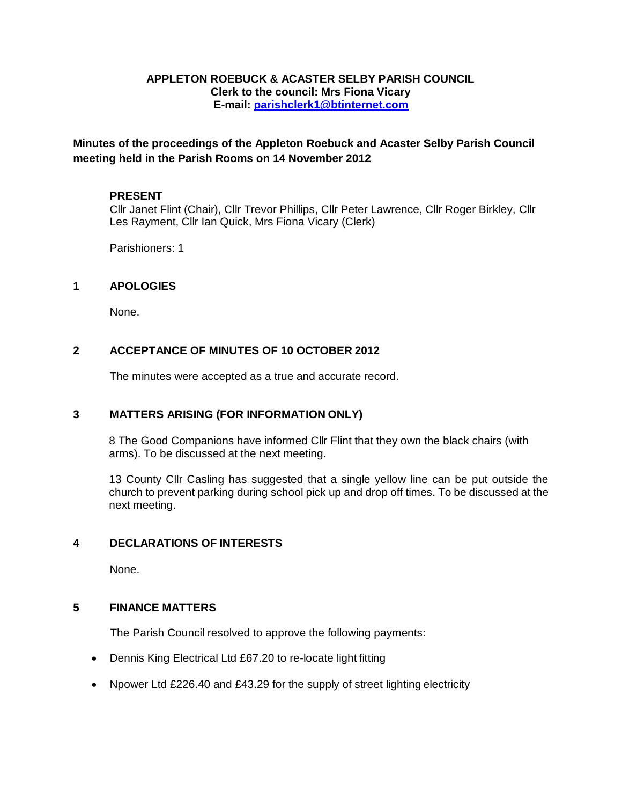#### **APPLETON ROEBUCK & ACASTER SELBY PARISH COUNCIL Clerk to the council: Mrs Fiona Vicary E-mail: [parishclerk1@btinternet.com](mailto:parishclerk1@btinternet.com)**

**Minutes of the proceedings of the Appleton Roebuck and Acaster Selby Parish Council meeting held in the Parish Rooms on 14 November 2012**

#### **PRESENT**

Cllr Janet Flint (Chair), Cllr Trevor Phillips, Cllr Peter Lawrence, Cllr Roger Birkley, Cllr Les Rayment, Cllr Ian Quick, Mrs Fiona Vicary (Clerk)

Parishioners: 1

#### **1 APOLOGIES**

None.

### **2 ACCEPTANCE OF MINUTES OF 10 OCTOBER 2012**

The minutes were accepted as a true and accurate record.

#### **3 MATTERS ARISING (FOR INFORMATION ONLY)**

8 The Good Companions have informed Cllr Flint that they own the black chairs (with arms). To be discussed at the next meeting.

13 County Cllr Casling has suggested that a single yellow line can be put outside the church to prevent parking during school pick up and drop off times. To be discussed at the next meeting.

### **4 DECLARATIONS OF INTERESTS**

None.

#### **5 FINANCE MATTERS**

The Parish Council resolved to approve the following payments:

- Dennis King Electrical Ltd £67.20 to re-locate light fitting
- Npower Ltd £226.40 and £43.29 for the supply of street lighting electricity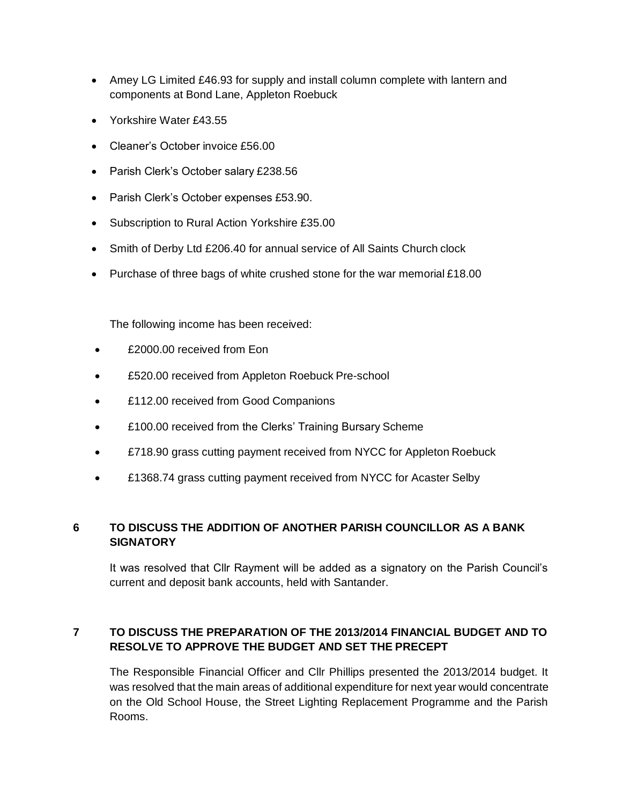- Amey LG Limited £46.93 for supply and install column complete with lantern and components at Bond Lane, Appleton Roebuck
- Yorkshire Water £43.55
- Cleaner's October invoice £56.00
- Parish Clerk's October salary £238.56
- Parish Clerk's October expenses £53.90.
- Subscription to Rural Action Yorkshire £35.00
- Smith of Derby Ltd £206.40 for annual service of All Saints Church clock
- Purchase of three bags of white crushed stone for the war memorial £18.00

The following income has been received:

- £2000.00 received from Eon
- £520.00 received from Appleton Roebuck Pre-school
- £112.00 received from Good Companions
- **E100.00 received from the Clerks' Training Bursary Scheme**
- £718.90 grass cutting payment received from NYCC for Appleton Roebuck
- £1368.74 grass cutting payment received from NYCC for Acaster Selby

# **6 TO DISCUSS THE ADDITION OF ANOTHER PARISH COUNCILLOR AS A BANK SIGNATORY**

It was resolved that Cllr Rayment will be added as a signatory on the Parish Council's current and deposit bank accounts, held with Santander.

# **7 TO DISCUSS THE PREPARATION OF THE 2013/2014 FINANCIAL BUDGET AND TO RESOLVE TO APPROVE THE BUDGET AND SET THE PRECEPT**

The Responsible Financial Officer and Cllr Phillips presented the 2013/2014 budget. It was resolved that the main areas of additional expenditure for next year would concentrate on the Old School House, the Street Lighting Replacement Programme and the Parish Rooms.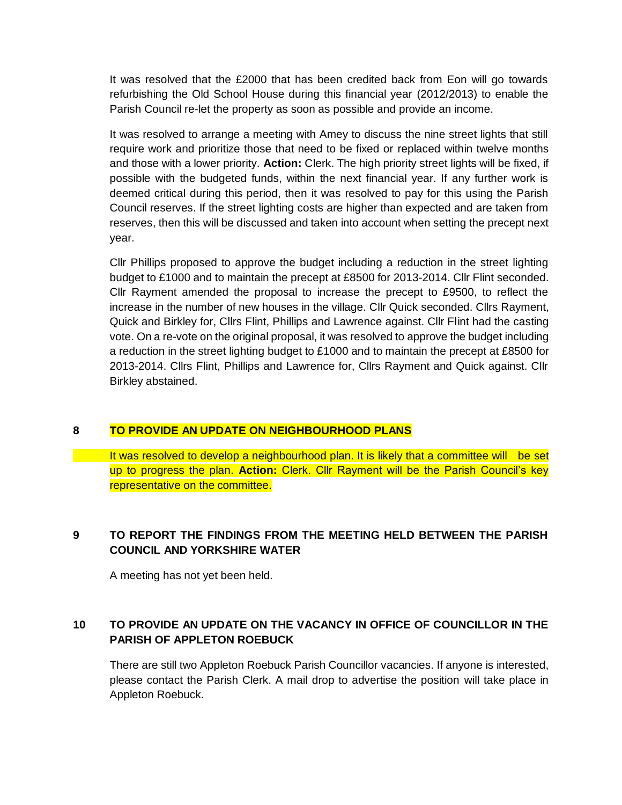It was resolved that the £2000 that has been credited back from Eon will go towards refurbishing the Old School House during this financial year (2012/2013) to enable the Parish Council re-let the property as soon as possible and provide an income.

It was resolved to arrange a meeting with Amey to discuss the nine street lights that still require work and prioritize those that need to be fixed or replaced within twelve months and those with a lower priority. **Action:** Clerk. The high priority street lights will be fixed, if possible with the budgeted funds, within the next financial year. If any further work is deemed critical during this period, then it was resolved to pay for this using the Parish Council reserves. If the street lighting costs are higher than expected and are taken from reserves, then this will be discussed and taken into account when setting the precept next year.

Cllr Phillips proposed to approve the budget including a reduction in the street lighting budget to £1000 and to maintain the precept at £8500 for 2013-2014. Cllr Flint seconded. Cllr Rayment amended the proposal to increase the precept to £9500, to reflect the increase in the number of new houses in the village. Cllr Quick seconded. Cllrs Rayment, Quick and Birkley for, Cllrs Flint, Phillips and Lawrence against. Cllr Flint had the casting vote. On a re-vote on the original proposal, it was resolved to approve the budget including a reduction in the street lighting budget to £1000 and to maintain the precept at £8500 for 2013-2014. Cllrs Flint, Phillips and Lawrence for, Cllrs Rayment and Quick against. Cllr Birkley abstained.

# **8 TO PROVIDE AN UPDATE ON NEIGHBOURHOOD PLANS**

It was resolved to develop a neighbourhood plan. It is likely that a committee will be set up to progress the plan. **Action:** Clerk. Cllr Rayment will be the Parish Council's key representative on the committee.

# **9 TO REPORT THE FINDINGS FROM THE MEETING HELD BETWEEN THE PARISH COUNCIL AND YORKSHIRE WATER**

A meeting has not yet been held.

# **10 TO PROVIDE AN UPDATE ON THE VACANCY IN OFFICE OF COUNCILLOR IN THE PARISH OF APPLETON ROEBUCK**

There are still two Appleton Roebuck Parish Councillor vacancies. If anyone is interested, please contact the Parish Clerk. A mail drop to advertise the position will take place in Appleton Roebuck.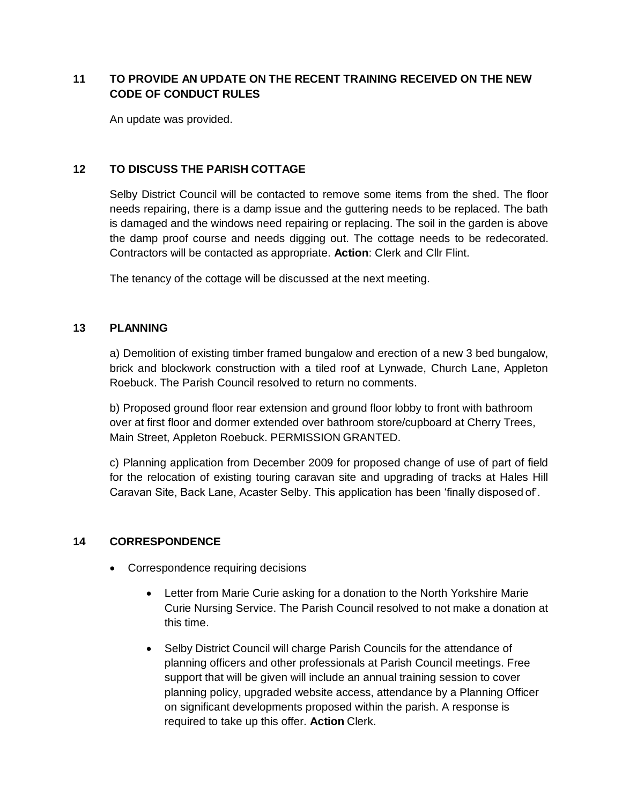# **11 TO PROVIDE AN UPDATE ON THE RECENT TRAINING RECEIVED ON THE NEW CODE OF CONDUCT RULES**

An update was provided.

### **12 TO DISCUSS THE PARISH COTTAGE**

Selby District Council will be contacted to remove some items from the shed. The floor needs repairing, there is a damp issue and the guttering needs to be replaced. The bath is damaged and the windows need repairing or replacing. The soil in the garden is above the damp proof course and needs digging out. The cottage needs to be redecorated. Contractors will be contacted as appropriate. **Action**: Clerk and Cllr Flint.

The tenancy of the cottage will be discussed at the next meeting.

### **13 PLANNING**

a) Demolition of existing timber framed bungalow and erection of a new 3 bed bungalow, brick and blockwork construction with a tiled roof at Lynwade, Church Lane, Appleton Roebuck. The Parish Council resolved to return no comments.

b) Proposed ground floor rear extension and ground floor lobby to front with bathroom over at first floor and dormer extended over bathroom store/cupboard at Cherry Trees, Main Street, Appleton Roebuck. PERMISSION GRANTED.

c) Planning application from December 2009 for proposed change of use of part of field for the relocation of existing touring caravan site and upgrading of tracks at Hales Hill Caravan Site, Back Lane, Acaster Selby. This application has been 'finally disposed of'.

### **14 CORRESPONDENCE**

- Correspondence requiring decisions
	- Letter from Marie Curie asking for a donation to the North Yorkshire Marie Curie Nursing Service. The Parish Council resolved to not make a donation at this time.
	- Selby District Council will charge Parish Councils for the attendance of planning officers and other professionals at Parish Council meetings. Free support that will be given will include an annual training session to cover planning policy, upgraded website access, attendance by a Planning Officer on significant developments proposed within the parish. A response is required to take up this offer. **Action** Clerk.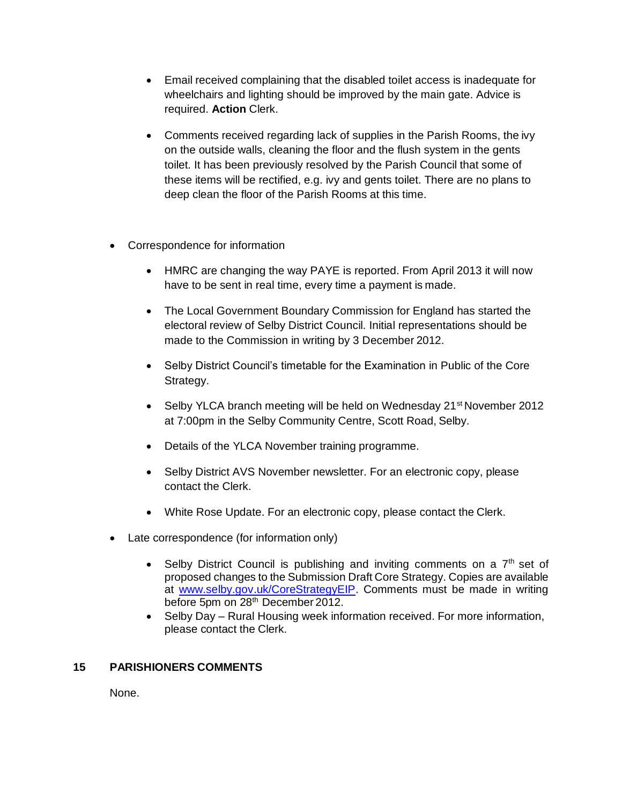- Email received complaining that the disabled toilet access is inadequate for wheelchairs and lighting should be improved by the main gate. Advice is required. **Action** Clerk.
- Comments received regarding lack of supplies in the Parish Rooms, the ivy on the outside walls, cleaning the floor and the flush system in the gents toilet. It has been previously resolved by the Parish Council that some of these items will be rectified, e.g. ivy and gents toilet. There are no plans to deep clean the floor of the Parish Rooms at this time.
- Correspondence for information
	- HMRC are changing the way PAYE is reported. From April 2013 it will now have to be sent in real time, every time a payment is made.
	- The Local Government Boundary Commission for England has started the electoral review of Selby District Council. Initial representations should be made to the Commission in writing by 3 December 2012.
	- Selby District Council's timetable for the Examination in Public of the Core Strategy.
	- Selby YLCA branch meeting will be held on Wednesday 21<sup>st</sup> November 2012 at 7:00pm in the Selby Community Centre, Scott Road, Selby.
	- Details of the YLCA November training programme.
	- Selby District AVS November newsletter. For an electronic copy, please contact the Clerk.
	- White Rose Update. For an electronic copy, please contact the Clerk.
- Late correspondence (for information only)
	- Selby District Council is publishing and inviting comments on a  $7<sup>th</sup>$  set of proposed changes to the Submission Draft Core Strategy. Copies are available at [www.selby.gov.uk/CoreStrategyEIP.](http://www.selby.gov.uk/CoreStrategyEIP) Comments must be made in writing before 5pm on 28<sup>th</sup> December 2012.
	- Selby Day Rural Housing week information received. For more information, please contact the Clerk.

### **15 PARISHIONERS COMMENTS**

None.